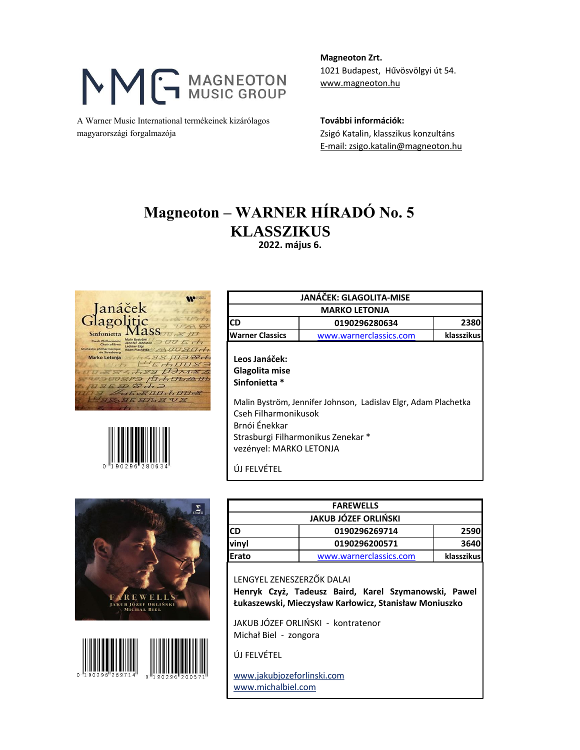## MG MAGNEOTON

A Warner Music International termékeinek kizárólagos **További információk:** magyarországi forgalmazója Zsigó Katalin, klasszikus konzultáns

**Magneoton Zrt.** 1021 Budapest, Hűvösvölgyi út 54. [www.magneoton.hu](http://www.magneoton.hu/)

[E-mail: zsigo.katalin@magneoton.hu](mailto:zsigo.katalin@mton.hu)

## **KLASSZIKUS Magneoton – WARNER HÍRADÓ No. 5**

 **2022. május 6.**





|                                                                                                                                     | JANÁČEK: GLAGOLITA-MISE                                                                              |            |
|-------------------------------------------------------------------------------------------------------------------------------------|------------------------------------------------------------------------------------------------------|------------|
| <b>MARKO LETONJA</b>                                                                                                                |                                                                                                      |            |
| <b>CD</b>                                                                                                                           | 0190296280634                                                                                        | 2380       |
| <b>Warner Classics</b>                                                                                                              | www.warnerclassics.com                                                                               | klasszikus |
| Leos Janáček:<br>Glagolita mise<br>Sinfonietta *<br>Cseh Filharmonikusok<br>Brnói Énekkar<br>vezényel: MARKO LETONJA<br>ÚJ FELVÉTEL | Malin Byström, Jennifer Johnson, Ladislav Elgr, Adam Plachetka<br>Strasburgi Filharmonikus Zenekar * |            |





| <b>JAKUB JÓZEF ORLIŃSKI</b><br>0190296269714<br>0190296200571 | <b>FAREWELLS</b> |     |  |
|---------------------------------------------------------------|------------------|-----|--|
|                                                               |                  |     |  |
| vinyl                                                         | 2590             | ICD |  |
|                                                               | 3640             |     |  |
| Erato<br>www.warnerclassics.com                               | klasszikus       |     |  |

LENGYEL ZENESZERZŐK DALAI **Henryk Czyż, Tadeusz Baird, Karel Szymanowski, Pawel Łukaszewski, Mieczysław Karłowicz, Stanisław Moniuszko**

JAKUB JÓZEF ORLIŃSKI - kontratenor Michał Biel - zongora

ÚJ FELVÉTEL

www.jakubjozeforlinski.com www.michalbiel.com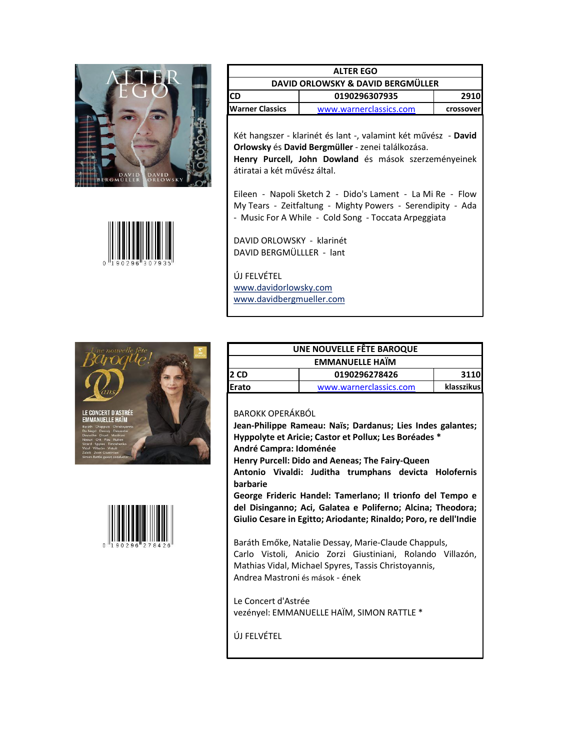



| <b>ALTER EGO</b><br>DAVID ORLOWSKY & DAVID BERGMÜLLER |                        |           |
|-------------------------------------------------------|------------------------|-----------|
|                                                       |                        |           |
| <b>IWarner Classics</b>                               | www.warnerclassics.com | crossover |
|                                                       |                        |           |

Két hangszer - klarinét és lant -, valamint két művész - **David Orlowsky** és **David Bergmüller** - zenei találkozása. **Henry Purcell, John Dowland** és mások szerzeményeinek átiratai a két művész által.

Eileen - Napoli Sketch 2 - Dido's Lament - La Mi Re - Flow My Tears - Zeitfaltung - Mighty Powers - Serendipity - Ada - Music For A While - Cold Song - Toccata Arpeggiata

DAVID ORLOWSKY - klarinét DAVID BERGMÜLLLER - lant

ÚJ FELVÉTEL www.davidorlowsky.com www.davidbergmueller.com





| UNE NOUVELLE FÊTE BAROQUE |                        |            |
|---------------------------|------------------------|------------|
| <b>EMMANUELLE HAIM</b>    |                        |            |
| l2 CD                     | 0190296278426          | 3110       |
| <b>IErato</b>             | www.warnerclassics.com | klasszikus |

BAROKK OPERÁKBÓL

**Jean-Philippe Rameau: Naïs; Dardanus; Lies Indes galantes; Hyppolyte et Aricie; Castor et Pollux; Les Boréades \* André Campra: Idoménée**

**Henry Purcell: Dido and Aeneas; The Fairy-Queen**

**Antonio Vivaldi: Juditha trumphans devicta Holofernis barbarie**

**George Frideric Handel: Tamerlano; Il trionfo del Tempo e del Disinganno; Aci, Galatea e Poliferno; Alcina; Theodora; Giulio Cesare in Egitto; Ariodante; Rinaldo; Poro, re dell'Indie**

Baráth Emőke, Natalie Dessay, Marie-Claude Chappuls, Carlo Vistoli, Anicio Zorzi Giustiniani, Rolando Villazón, Mathias Vidal, Michael Spyres, Tassis Christoyannis, Andrea Mastroni és mások - ének

Le Concert d'Astrée vezényel: EMMANUELLE HAÏM, SIMON RATTLE \*

ÚJ FELVÉTEL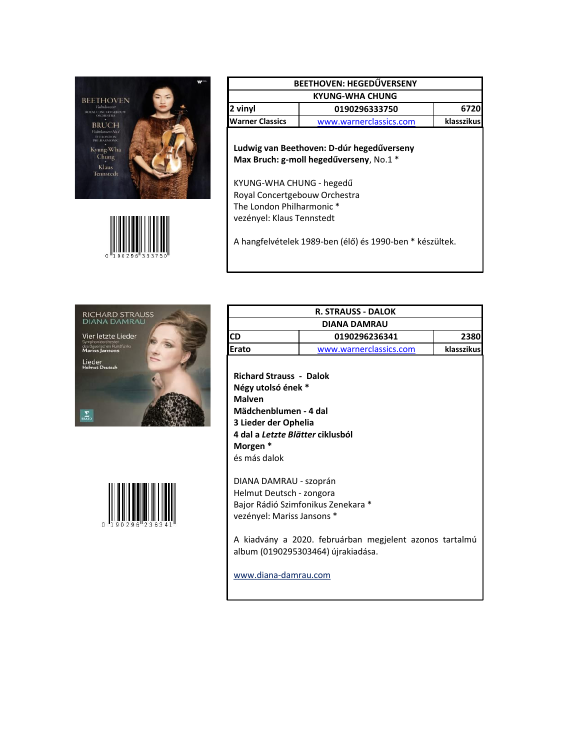



| <b>BEETHOVEN: HEGEDŰVERSENY</b> |                        |            |
|---------------------------------|------------------------|------------|
| <b>KYUNG-WHA CHUNG</b>          |                        |            |
| 2 vinyl                         | 0190296333750          | 6720       |
| <b>IWarner Classics</b>         | www.warnerclassics.com | klasszikus |

**Ludwig van Beethoven: D-dúr hegedűverseny Max Bruch: g-moll hegedűverseny**, No.1 \*

KYUNG-WHA CHUNG - hegedű Royal Concertgebouw Orchestra The London Philharmonic \* vezényel: Klaus Tennstedt

A hangfelvételek 1989-ben (élő) és 1990-ben \* készültek.





|                                                                                                                                                                                               | <b>R. STRAUSS - DALOK</b> |            |
|-----------------------------------------------------------------------------------------------------------------------------------------------------------------------------------------------|---------------------------|------------|
| DIANA DAMRAU                                                                                                                                                                                  |                           |            |
| ICD                                                                                                                                                                                           | 0190296236341             | 2380       |
| Erato                                                                                                                                                                                         | www.warnerclassics.com    | klasszikus |
| <b>Richard Strauss - Dalok</b><br>Négy utolsó ének *<br><b>Malven</b><br>Mädchenblumen - 4 dal<br>3 Lieder der Ophelia<br>4 dal a <i>Letzte Blätter</i> ciklusból<br>Morgen *<br>és más dalok |                           |            |
| DIANA DAMRAU - szoprán                                                                                                                                                                        |                           |            |

Helmut Deutsch - zongora Bajor Rádió Szimfonikus Zenekara \* vezényel: Mariss Jansons \*

A kiadvány a 2020. februárban megjelent azonos tartalmú album (0190295303464) újrakiadása.

www.diana-damrau.com